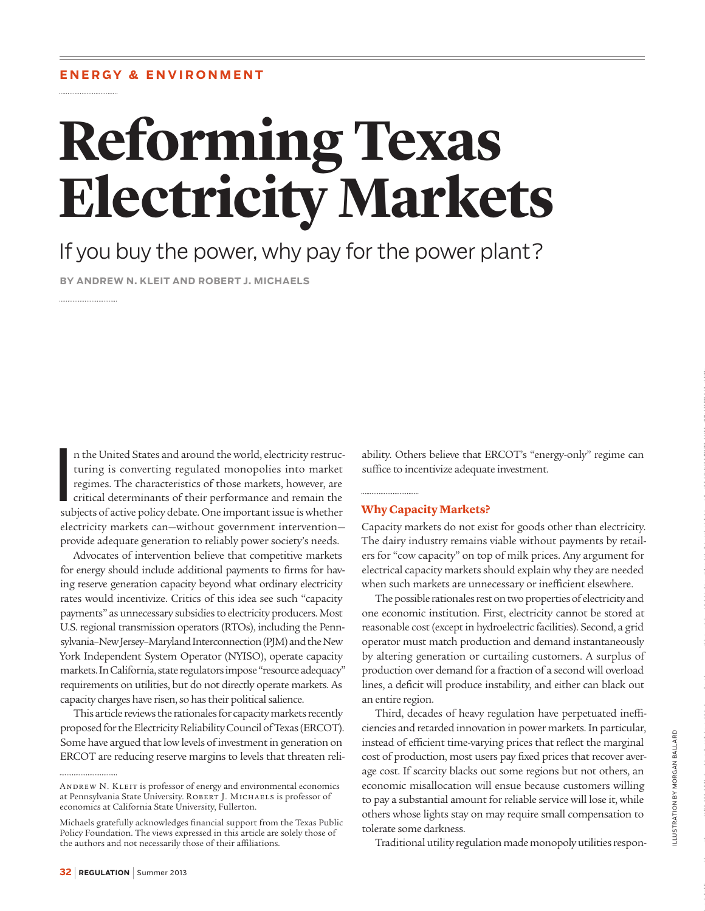# **Reforming Texas Electricity Markets**

## If you buy the power, why pay for the power plant?

**BY ANDREW N. KLEIT AND ROBERT J. MICHAELS**

I<br>I<br>I<br>I<br>I n the United States and around the world, electricity restructuring is converting regulated monopolies into market regimes. The characteristics of those markets, however, are critical determinants of their performance and remain the subjects of active policy debate. One important issue is whether electricity markets can—without government intervention provide adequate generation to reliably power society's needs.

Advocates of intervention believe that competitive markets for energy should include additional payments to firms for having reserve generation capacity beyond what ordinary electricity rates would incentivize. Critics of this idea see such "capacity payments" as unnecessary subsidies to electricity producers. Most U.S. regional transmission operators (RTOs), including the Pennsylvania–New Jersey–Maryland Interconnection (PJM) and the New York Independent System Operator (NYISO), operate capacity markets. In California, state regulators impose "resource adequacy" requirements on utilities, but do not directly operate markets. As capacity charges have risen, so has their political salience.

This article reviews the rationales for capacity markets recently proposed for the Electricity Reliability Council of Texas (ERCOT). Some have argued that low levels of investment in generation on ERCOT are reducing reserve margins to levels that threaten reliability. Others believe that ERCOT's "energy-only" regime can suffice to incentivize adequate investment.

#### **Why Capacity Markets?**

Capacity markets do not exist for goods other than electricity. The dairy industry remains viable without payments by retailers for "cow capacity" on top of milk prices. Any argument for electrical capacity markets should explain why they are needed when such markets are unnecessary or inefficient elsewhere.

The possible rationales rest on two properties of electricity and one economic institution. First, electricity cannot be stored at reasonable cost (except in hydroelectric facilities). Second, a grid operator must match production and demand instantaneously by altering generation or curtailing customers. A surplus of production over demand for a fraction of a second will overload lines, a deficit will produce instability, and either can black out an entire region.

Third, decades of heavy regulation have perpetuated inefficiencies and retarded innovation in power markets. In particular, instead of efficient time-varying prices that reflect the marginal cost of production, most users pay fixed prices that recover average cost. If scarcity blacks out some regions but not others, an economic misallocation will ensue because customers willing to pay a substantial amount for reliable service will lose it, while others whose lights stay on may require small compensation to tolerate some darkness.

Traditional utility regulation made monopoly utilities respon-

ANDREW N. KLEIT is professor of energy and environmental economics at Pennsylvania State University. ROBERT J. MICHAELS is professor of economics at California State University, Fullerton.

Michaels gratefully acknowledges financial support from the Texas Public Policy Foundation. The views expressed in this article are solely those of the authors and not necessarily those of their afliations.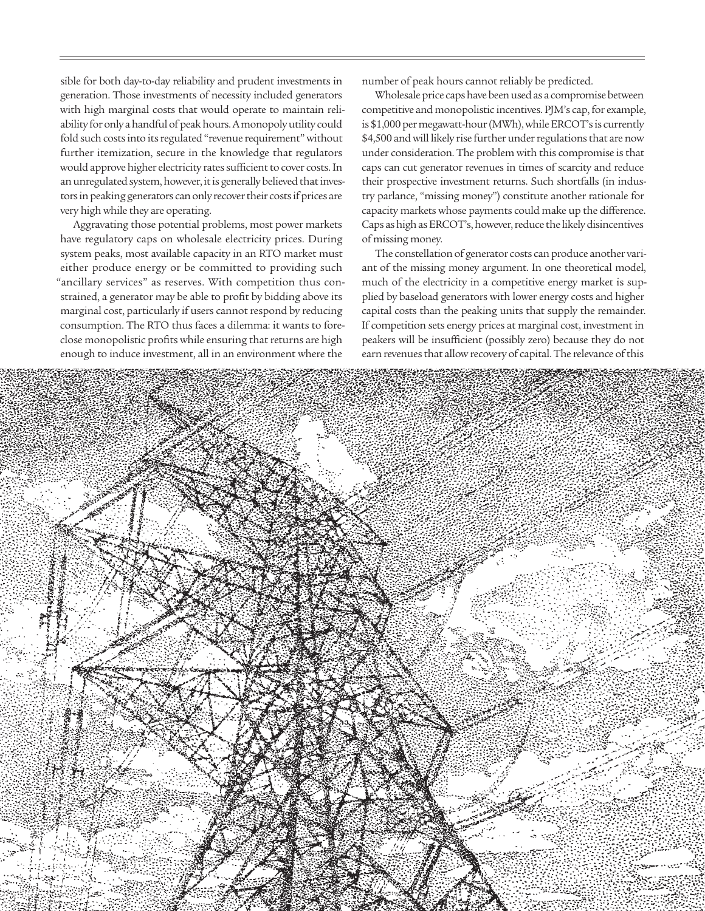sible for both day-to-day reliability and prudent investments in generation. Those investments of necessity included generators with high marginal costs that would operate to maintain reliability for only a handful of peak hours. A monopoly utility could fold such costs into its regulated "revenue requirement" without further itemization, secure in the knowledge that regulators would approve higher electricity rates sufficient to cover costs. In an unregulated system, however, it is generally believed that investors in peaking generators can only recover their costs if prices are very high while they are operating.

Aggravating those potential problems, most power markets have regulatory caps on wholesale electricity prices. During system peaks, most available capacity in an RTO market must either produce energy or be committed to providing such "ancillary services" as reserves. With competition thus constrained, a generator may be able to profit by bidding above its marginal cost, particularly if users cannot respond by reducing consumption. The RTO thus faces a dilemma: it wants to foreclose monopolistic profits while ensuring that returns are high enough to induce investment, all in an environment where the

number of peak hours cannot reliably be predicted.

Wholesale price caps have been used as a compromise between competitive and monopolistic incentives. PJM's cap, for example, is \$1,000 per megawatt-hour (MWh), while ERCOT's is currently \$4,500 and will likely rise further under regulations that are now under consideration. The problem with this compromise is that caps can cut generator revenues in times of scarcity and reduce their prospective investment returns. Such shortfalls (in industry parlance, "missing money") constitute another rationale for capacity markets whose payments could make up the diference. Caps as high as ERCOT's, however, reduce the likely disincentives of missing money.

The constellation of generator costs can produce another variant of the missing money argument. In one theoretical model, much of the electricity in a competitive energy market is supplied by baseload generators with lower energy costs and higher capital costs than the peaking units that supply the remainder. If competition sets energy prices at marginal cost, investment in peakers will be insufficient (possibly zero) because they do not earn revenues that allow recovery of capital. The relevance of this

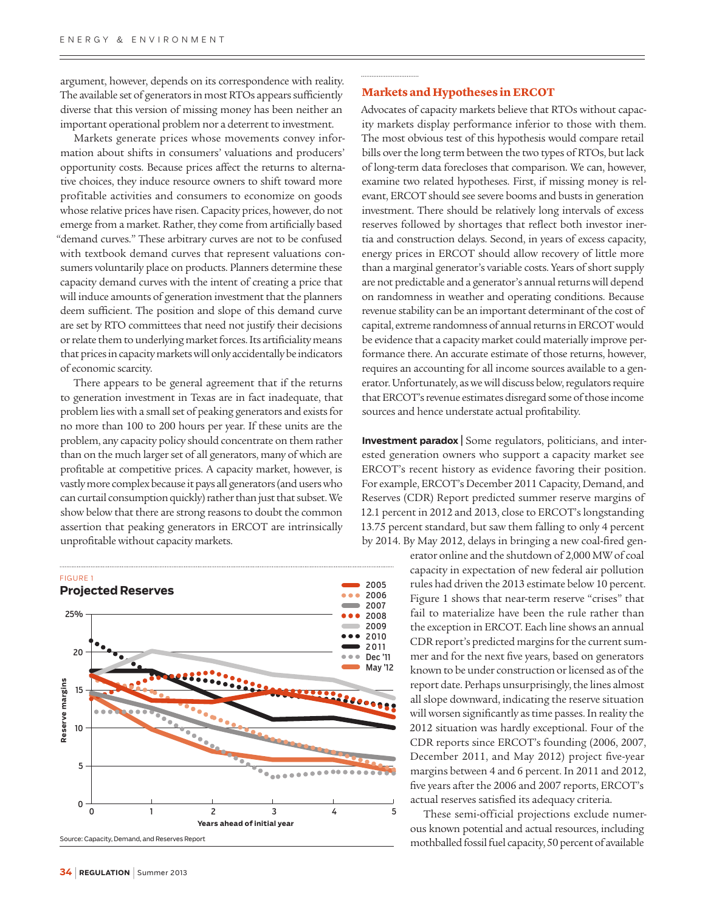argument, however, depends on its correspondence with reality. The available set of generators in most RTOs appears sufficiently diverse that this version of missing money has been neither an important operational problem nor a deterrent to investment.

Markets generate prices whose movements convey information about shifts in consumers' valuations and producers' opportunity costs. Because prices afect the returns to alternative choices, they induce resource owners to shift toward more profitable activities and consumers to economize on goods whose relative prices have risen. Capacity prices, however, do not emerge from a market. Rather, they come from artificially based "demand curves." These arbitrary curves are not to be confused with textbook demand curves that represent valuations consumers voluntarily place on products. Planners determine these capacity demand curves with the intent of creating a price that will induce amounts of generation investment that the planners deem sufficient. The position and slope of this demand curve are set by RTO committees that need not justify their decisions or relate them to underlying market forces. Its artificiality means that prices in capacity markets will only accidentally be indicators of economic scarcity.

There appears to be general agreement that if the returns to generation investment in Texas are in fact inadequate, that problem lies with a small set of peaking generators and exists for no more than 100 to 200 hours per year. If these units are the problem, any capacity policy should concentrate on them rather than on the much larger set of all generators, many of which are profitable at competitive prices. A capacity market, however, is vastly more complex because it pays all generators (and users who can curtail consumption quickly) rather than just that subset. We show below that there are strong reasons to doubt the common assertion that peaking generators in ERCOT are intrinsically unprofitable without capacity markets.



Source: Capacity, Demand, and Reserves Report

#### **Markets and Hypotheses in ERCOT**

Advocates of capacity markets believe that RTOs without capacity markets display performance inferior to those with them. The most obvious test of this hypothesis would compare retail bills over the long term between the two types of RTOs, but lack of long-term data forecloses that comparison. We can, however, examine two related hypotheses. First, if missing money is relevant, ERCOT should see severe booms and busts in generation investment. There should be relatively long intervals of excess reserves followed by shortages that reflect both investor inertia and construction delays. Second, in years of excess capacity, energy prices in ERCOT should allow recovery of little more than a marginal generator's variable costs. Years of short supply are not predictable and a generator's annual returns will depend on randomness in weather and operating conditions. Because revenue stability can be an important determinant of the cost of capital, extreme randomness of annual returns in ERCOT would be evidence that a capacity market could materially improve performance there. An accurate estimate of those returns, however, requires an accounting for all income sources available to a generator. Unfortunately, as we will discuss below, regulators require that ERCOT's revenue estimates disregard some of those income sources and hence understate actual profitability.

**Investment paradox <sup>|</sup>** Some regulators, politicians, and interested generation owners who support a capacity market see ERCOT's recent history as evidence favoring their position. For example, ERCOT's December 2011 Capacity, Demand, and Reserves (CDR) Report predicted summer reserve margins of 12.1 percent in 2012 and 2013, close to ERCOT's longstanding 13.75 percent standard, but saw them falling to only 4 percent by 2014. By May 2012, delays in bringing a new coal-fired gen-

> erator online and the shutdown of 2,000 MW of coal capacity in expectation of new federal air pollution rules had driven the 2013 estimate below 10 percent. Figure 1 shows that near-term reserve "crises" that fail to materialize have been the rule rather than the exception in ERCOT. Each line shows an annual CDR report's predicted margins for the current summer and for the next five years, based on generators known to be under construction or licensed as of the report date. Perhaps unsurprisingly, the lines almost all slope downward, indicating the reserve situation will worsen significantly as time passes. In reality the 2012 situation was hardly exceptional. Four of the CDR reports since ERCOT's founding (2006, 2007, December 2011, and May 2012) project five-year margins between 4 and 6 percent. In 2011 and 2012, five years after the 2006 and 2007 reports, ERCOT's actual reserves satisfied its adequacy criteria.

> These semi-official projections exclude numerous known potential and actual resources, including mothballed fossil fuel capacity, 50 percent of available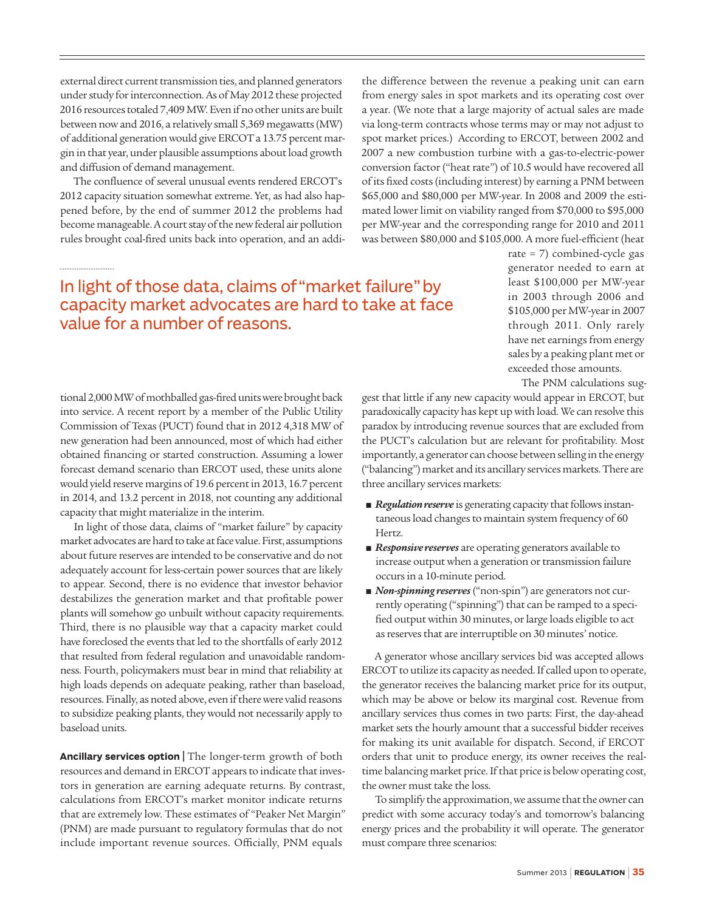external direct current transmission ties, and planned generators under study for interconnection. As of May 2012 these projected 2016 resources totaled 7,409 MW. Even if no other units are built between now and 2016, a relatively small 5,369 megawatts (MW) of additional generation would give ERCOT a 13.75 percent margin in that year, under plausible assumptions about load growth and difusion of demand management.

The confluence of several unusual events rendered ERCOT's 2012 capacity situation somewhat extreme. Yet, as had also happened before, by the end of summer 2012 the problems had become manageable. A court stay of the new federal air pollution rules brought coal-fired units back into operation, and an addithe diference between the revenue a peaking unit can earn from energy sales in spot markets and its operating cost over a year. (We note that a large majority of actual sales are made via long-term contracts whose terms may or may not adjust to spot market prices.) According to ERCOT, between 2002 and 2007 a new combustion turbine with a gas-to-electric-power conversion factor ("heat rate") of 10.5 would have recovered all of its fixed costs (including interest) by earning a PNM between \$65,000 and \$80,000 per MW-year. In 2008 and 2009 the estimated lower limit on viability ranged from \$70,000 to \$95,000 per MW-year and the corresponding range for 2010 and 2011 was between \$80,000 and \$105,000. A more fuel-efficient (heat

## In light of those data, claims of "market failure" by capacity market advocates are hard to take at face value for a number of reasons.

tional 2,000 MW of mothballed gas-fired units were brought back into service. A recent report by a member of the Public Utility Commission of Texas (PUCT) found that in 2012 4,318 MW of new generation had been announced, most of which had either obtained financing or started construction. Assuming a lower forecast demand scenario than ERCOT used, these units alone would yield reserve margins of 19.6 percent in 2013, 16.7 percent in 2014, and 13.2 percent in 2018, not counting any additional capacity that might materialize in the interim.

In light of those data, claims of "market failure" by capacity market advocates are hard to take at face value. First, assumptions about future reserves are intended to be conservative and do not adequately account for less-certain power sources that are likely to appear. Second, there is no evidence that investor behavior destabilizes the generation market and that profitable power plants will somehow go unbuilt without capacity requirements. Third, there is no plausible way that a capacity market could have foreclosed the events that led to the shortfalls of early 2012 that resulted from federal regulation and unavoidable randomness. Fourth, policymakers must bear in mind that reliability at high loads depends on adequate peaking, rather than baseload, resources. Finally, as noted above, even if there were valid reasons to subsidize peaking plants, they would not necessarily apply to baseload units.

**Ancillary services option |** The longer-term growth of both resources and demand in ERCOT appears to indicate that investors in generation are earning adequate returns. By contrast, calculations from ERCOT's market monitor indicate returns that are extremely low. These estimates of "Peaker Net Margin" (PNM) are made pursuant to regulatory formulas that do not include important revenue sources. Officially, PNM equals

rate = 7) combined-cycle gas generator needed to earn at least \$100,000 per MW-year in 2003 through 2006 and \$105,000 per MW-year in 2007 through 2011. Only rarely have net earnings from energy sales by a peaking plant met or exceeded those amounts.

The PNM calculations sug-

gest that little if any new capacity would appear in ERCOT, but paradoxically capacity has kept up with load. We can resolve this paradox by introducing revenue sources that are excluded from the PUCT's calculation but are relevant for profitability. Most importantly, a generator can choose between selling in the energy ("balancing") market and its ancillary services markets. There are three ancillary services markets:

- Regulation reserve is generating capacity that follows instantaneous load changes to maintain system frequency of 60 Hertz.
- Responsive reserves are operating generators available to increase output when a generation or transmission failure occurs in a 10-minute period.
- *Non-spinning reserves* ("non-spin") are generators not currently operating ("spinning") that can be ramped to a specified output within 30 minutes, or large loads eligible to act as reserves that are interruptible on 30 minutes' notice.

A generator whose ancillary services bid was accepted allows ERCOT to utilize its capacity as needed. If called upon to operate, the generator receives the balancing market price for its output, which may be above or below its marginal cost. Revenue from ancillary services thus comes in two parts: First, the day-ahead market sets the hourly amount that a successful bidder receives for making its unit available for dispatch. Second, if ERCOT orders that unit to produce energy, its owner receives the realtime balancing market price. If that price is below operating cost, the owner must take the loss.

To simplify the approximation, we assume that the owner can predict with some accuracy today's and tomorrow's balancing energy prices and the probability it will operate. The generator must compare three scenarios: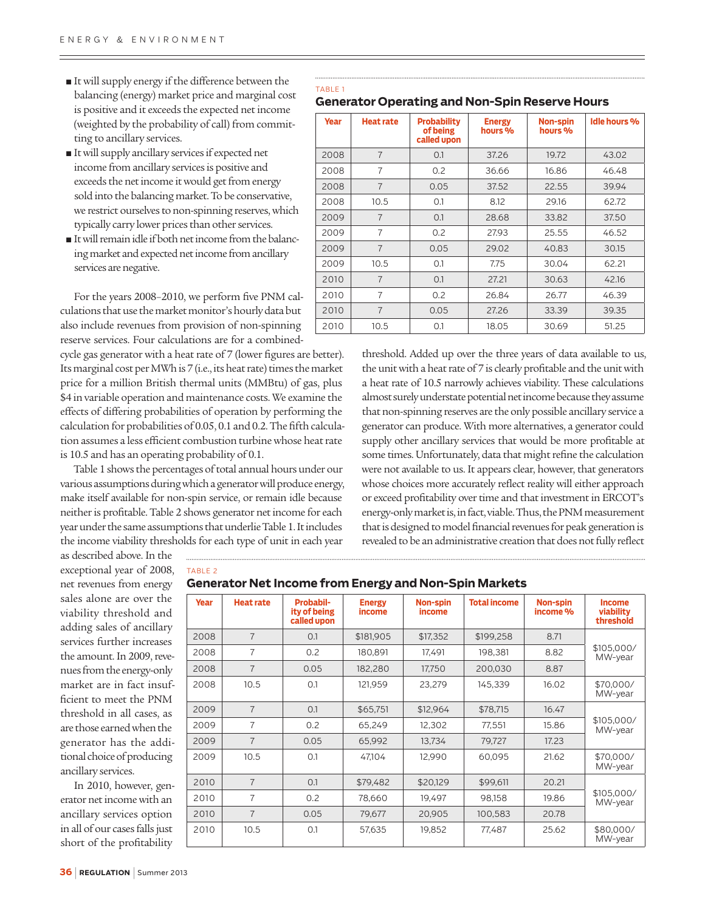- It will supply energy if the difference between the balancing (energy) market price and marginal cost is positive and it exceeds the expected net income (weighted by the probability of call) from committing to ancillary services.
- It will supply ancillary services if expected net income from ancillary services is positive and exceeds the net income it would get from energy sold into the balancing market. To be conservative, we restrict ourselves to non-spinning reserves, which typically carry lower prices than other services.
- It will remain idle if both net income from the balancing market and expected net income from ancillary services are negative.

For the years 2008–2010, we perform five PNM calculations that use the market monitor's hourly data but also include revenues from provision of non-spinning reserve services. Four calculations are for a combined-

cycle gas generator with a heat rate of 7 (lower figures are better). Its marginal cost per MWh is 7 (i.e., its heat rate) times the market price for a million British thermal units (MMBtu) of gas, plus \$4 in variable operation and maintenance costs. We examine the efects of difering probabilities of operation by performing the calculation for probabilities of 0.05, 0.1 and 0.2. The fifth calculation assumes a less efficient combustion turbine whose heat rate is 10.5 and has an operating probability of 0.1.

Table 1 shows the percentages of total annual hours under our various assumptions during which a generator will produce energy, make itself available for non-spin service, or remain idle because neither is profitable. Table 2 shows generator net income for each year under the same assumptions that underlie Table 1. It includes the income viability thresholds for each type of unit in each year

TABLE 1 **Generator Operating and Non-Spin Reserve Hours**

| <b>Year</b> | <b>Heat rate</b> | <b>Probability</b><br>of being<br>called upon | <b>Energy</b><br>hours % | <b>Non-spin</b><br>hours % | <b>Idle hours %</b> |
|-------------|------------------|-----------------------------------------------|--------------------------|----------------------------|---------------------|
| 2008        | $\overline{7}$   | 0.1                                           | 37.26                    | 19.72                      | 43.02               |
| 2008        | $\overline{7}$   | 0.2                                           | 36.66                    | 16.86                      | 46.48               |
| 2008        | $\overline{7}$   | 0.05                                          | 37.52                    | 22.55                      | 39.94               |
| 2008        | 10.5             | 0.1                                           | 8.12                     | 29.16                      | 62.72               |
| 2009        | $\overline{7}$   | 0.1                                           | 28.68                    | 33.82                      | 37.50               |
| 2009        | $\overline{7}$   | 0.2                                           | 27.93                    | 25.55                      | 46.52               |
| 2009        | $\overline{7}$   | 0.05                                          | 29.02                    | 40.83                      | 30.15               |
| 2009        | 10.5             | 0.1                                           | 7.75                     | 30.04                      | 62.21               |
| 2010        | $\overline{7}$   | 0.1                                           | 27.21                    | 30.63                      | 42.16               |
| 2010        | $\overline{7}$   | 0.2                                           | 26.84                    | 26.77                      | 46.39               |
| 2010        | $\overline{7}$   | 0.05                                          | 27.26                    | 33.39                      | 39.35               |
| 2010        | 10.5             | 0.1                                           | 18.05                    | 30.69                      | 51.25               |

threshold. Added up over the three years of data available to us, the unit with a heat rate of 7 is clearly profitable and the unit with a heat rate of 10.5 narrowly achieves viability. These calculations almost surely understate potential net income because they assume that non-spinning reserves are the only possible ancillary service a generator can produce. With more alternatives, a generator could supply other ancillary services that would be more profitable at some times. Unfortunately, data that might refine the calculation were not available to us. It appears clear, however, that generators whose choices more accurately reflect reality will either approach or exceed profitability over time and that investment in ERCOT's energy-only market is, in fact, viable. Thus, the PNM measurement that is designed to model financial revenues for peak generation is revealed to be an administrative creation that does not fully reflect

TABLE 2

exceptional year of 2008, net revenues from energy sales alone are over the viability threshold and adding sales of ancillary services further increases the amount. In 2009, revenues from the energy-only market are in fact insufficient to meet the PNM threshold in all cases, as are those earned when the generator has the additional choice of producing ancillary services.

as described above. In the

In 2010, however, generator net income with an ancillary services option in all of our cases falls just short of the profitability

**Generator Net Income from Energy and Non-Spin Markets**

| <b>Year</b> | <b>Heat rate</b> | <b>Probabil-</b><br>ity of being<br>called upon | <b>Energy</b><br>income | Non-spin<br>income | <b>Total income</b> | Non-spin<br>income % | <b>Income</b><br>viability<br>threshold |
|-------------|------------------|-------------------------------------------------|-------------------------|--------------------|---------------------|----------------------|-----------------------------------------|
| 2008        | $\overline{7}$   | 0.1                                             | \$181,905               | \$17,352           | \$199,258           | 8.71                 | \$105,000/<br>MW-year                   |
| 2008        | 7                | 0.2                                             | 180,891                 | 17,491             | 198,381             | 8.82                 |                                         |
| 2008        | $\overline{7}$   | 0.05                                            | 182,280                 | 17,750             | 200,030             | 8.87                 |                                         |
| 2008        | 10.5             | 0.1                                             | 121,959                 | 23.279             | 145,339             | 16.02                | \$70,000/<br>MW-year                    |
| 2009        | $\overline{7}$   | 0.1                                             | \$65,751                | \$12,964           | \$78,715            | 16.47                | \$105,000/<br>MW-year                   |
| 2009        | $\overline{7}$   | 0.2                                             | 65,249                  | 12,302             | 77,551              | 15.86                |                                         |
| 2009        | $\overline{7}$   | 0.05                                            | 65,992                  | 13,734             | 79,727              | 17.23                |                                         |
| 2009        | 10.5             | 0.1                                             | 47,104                  | 12,990             | 60,095              | 21.62                | \$70,000/<br>MW-year                    |
| 2010        | $\overline{7}$   | 0.1                                             | \$79,482                | \$20,129           | \$99,611            | 20.21                | \$105,000/<br>MW-year                   |
| 2010        | $\overline{7}$   | 0.2                                             | 78,660                  | 19,497             | 98,158              | 19.86                |                                         |
| 2010        | $\overline{7}$   | 0.05                                            | 79,677                  | 20,905             | 100,583             | 20.78                |                                         |
| 2010        | 10.5             | 0.1                                             | 57,635                  | 19,852             | 77,487              | 25.62                | \$80,000/<br>MW-year                    |